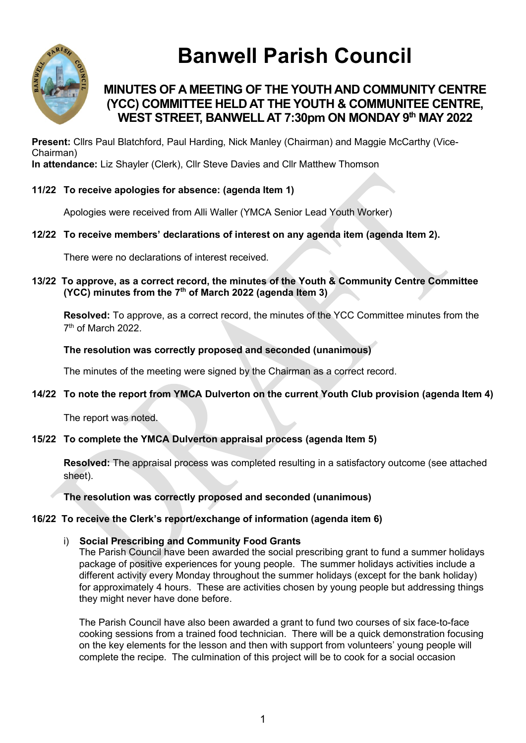

# **Banwell Parish Council**

## **MINUTES OF A MEETING OF THE YOUTH AND COMMUNITY CENTRE (YCC) COMMITTEE HELD AT THE YOUTH & COMMUNITEE CENTRE, WEST STREET, BANWELL AT 7:30pm ON MONDAY 9 th MAY 2022**

**Present:** Cllrs Paul Blatchford, Paul Harding, Nick Manley (Chairman) and Maggie McCarthy (Vice-Chairman) **In attendance:** Liz Shayler (Clerk), Cllr Steve Davies and Cllr Matthew Thomson

#### **11/22 To receive apologies for absence: (agenda Item 1)**

Apologies were received from Alli Waller (YMCA Senior Lead Youth Worker)

#### **12/22 To receive members' declarations of interest on any agenda item (agenda Item 2).**

There were no declarations of interest received.

**13/22 To approve, as a correct record, the minutes of the Youth & Community Centre Committee (YCC) minutes from the 7 th of March 2022 (agenda Item 3)**

**Resolved:** To approve, as a correct record, the minutes of the YCC Committee minutes from the 7<sup>th</sup> of March 2022.

**The resolution was correctly proposed and seconded (unanimous)**

The minutes of the meeting were signed by the Chairman as a correct record.

**14/22 To note the report from YMCA Dulverton on the current Youth Club provision (agenda Item 4)**

The report was noted.

#### **15/22 To complete the YMCA Dulverton appraisal process (agenda Item 5)**

**Resolved:** The appraisal process was completed resulting in a satisfactory outcome (see attached sheet).

**The resolution was correctly proposed and seconded (unanimous)**

#### **16/22 To receive the Clerk's report/exchange of information (agenda item 6)**

#### i) **Social Prescribing and Community Food Grants**

The Parish Council have been awarded the social prescribing grant to fund a summer holidays package of positive experiences for young people. The summer holidays activities include a different activity every Monday throughout the summer holidays (except for the bank holiday) for approximately 4 hours. These are activities chosen by young people but addressing things they might never have done before.

The Parish Council have also been awarded a grant to fund two courses of six face-to-face cooking sessions from a trained food technician. There will be a quick demonstration focusing on the key elements for the lesson and then with support from volunteers' young people will complete the recipe. The culmination of this project will be to cook for a social occasion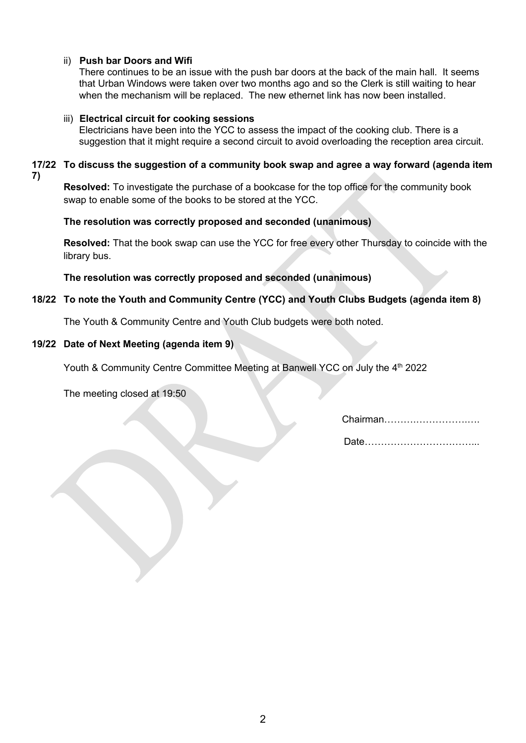#### ii) **Push bar Doors and Wifi**

There continues to be an issue with the push bar doors at the back of the main hall. It seems that Urban Windows were taken over two months ago and so the Clerk is still waiting to hear when the mechanism will be replaced. The new ethernet link has now been installed.

#### iii) **Electrical circuit for cooking sessions**

Electricians have been into the YCC to assess the impact of the cooking club. There is a suggestion that it might require a second circuit to avoid overloading the reception area circuit.

**17/22 To discuss the suggestion of a community book swap and agree a way forward (agenda item 7)**

**Resolved:** To investigate the purchase of a bookcase for the top office for the community book swap to enable some of the books to be stored at the YCC.

#### **The resolution was correctly proposed and seconded (unanimous)**

**Resolved:** That the book swap can use the YCC for free every other Thursday to coincide with the library bus.

**The resolution was correctly proposed and seconded (unanimous)**

#### **18/22 To note the Youth and Community Centre (YCC) and Youth Clubs Budgets (agenda item 8)**

The Youth & Community Centre and Youth Club budgets were both noted.

#### **19/22 Date of Next Meeting (agenda item 9)**

Youth & Community Centre Committee Meeting at Banwell YCC on July the 4<sup>th</sup> 2022

The meeting closed at 19:50

Chairman……….…………….….

Date……………………………...